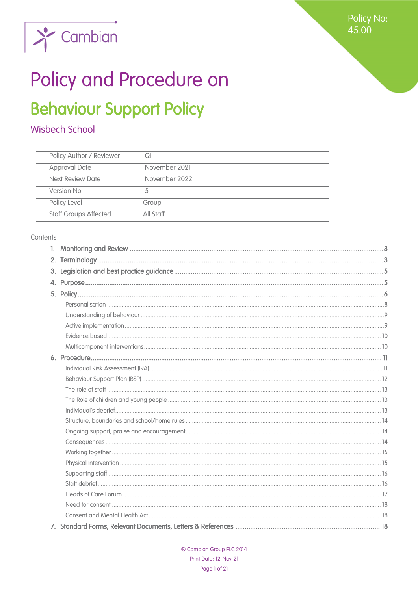

## Policy and Procedure on

## **Behaviour Support Policy**

## **Wisbech School**

| Policy Author / Reviewer     | Ql            |
|------------------------------|---------------|
| <b>Approval Date</b>         | November 2021 |
| Next Review Date             | November 2022 |
| Version No                   | 5             |
| Policy Level                 | Group         |
| <b>Staff Groups Affected</b> | All Staff     |

#### Contents

| $\mathbf{1}$ . |  |
|----------------|--|
| 2.             |  |
| 3.             |  |
|                |  |
|                |  |
|                |  |
|                |  |
|                |  |
|                |  |
|                |  |
|                |  |
|                |  |
|                |  |
|                |  |
|                |  |
|                |  |
|                |  |
|                |  |
|                |  |
|                |  |
|                |  |
|                |  |
|                |  |
|                |  |
|                |  |
|                |  |
|                |  |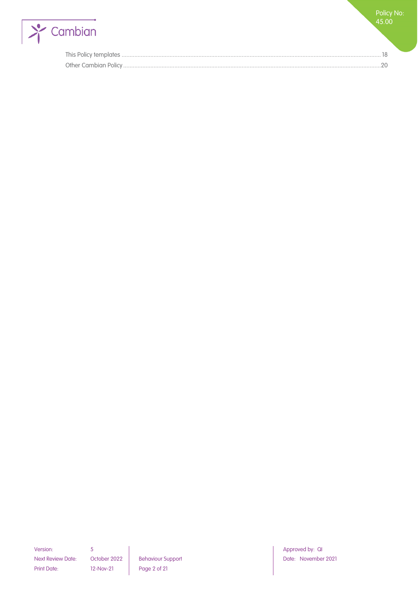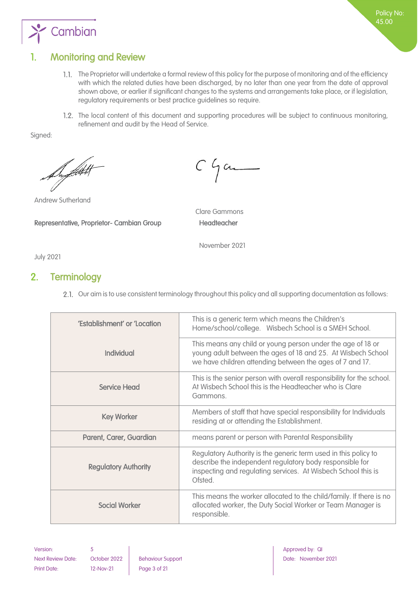

## <span id="page-2-0"></span>1. Monitoring and Review

The Proprietor will undertake a formal review of this policy for the purpose of monitoring and of the efficiency with which the related duties have been discharged, by no later than one year from the date of approval shown above, or earlier if significant changes to the systems and arrangements take place, or if legislation, regulatory requirements or best practice guidelines so require.

Policy No: 45.00

1.2. The local content of this document and supporting procedures will be subject to continuous monitoring, refinement and audit by the Head of Service.

Signed:

Superfield

Andrew Sutherland

Representative, Proprietor- Cambian Group Headteacher

 $C$   $\int$  and

Clare Gammons

November 2021

<span id="page-2-1"></span>July 2021

## 2. Terminology

2.1. Our aim is to use consistent terminology throughout this policy and all supporting documentation as follows:

| 'Establishment' or 'Location | This is a generic term which means the Children's<br>Home/school/college. Wisbech School is a SMEH School.                                                                                              |
|------------------------------|---------------------------------------------------------------------------------------------------------------------------------------------------------------------------------------------------------|
| <b>Individual</b>            | This means any child or young person under the age of 18 or<br>young adult between the ages of 18 and 25. At Wisbech School<br>we have children attending between the ages of 7 and 17.                 |
| Service Head                 | This is the senior person with overall responsibility for the school.<br>At Wisbech School this is the Headteacher who is Clare<br>Gammons.                                                             |
| <b>Key Worker</b>            | Members of staff that have special responsibility for Individuals<br>residing at or attending the Establishment.                                                                                        |
| Parent, Carer, Guardian      | means parent or person with Parental Responsibility                                                                                                                                                     |
| <b>Regulatory Authority</b>  | Regulatory Authority is the generic term used in this policy to<br>describe the independent regulatory body responsible for<br>inspecting and regulating services. At Wisbech School this is<br>Ofsted. |
| <b>Social Worker</b>         | This means the worker allocated to the child/family. If there is no<br>allocated worker, the Duty Social Worker or Team Manager is<br>responsible.                                                      |

Version: 5 Approved by: QI Approved by: QI Approved by: QI Approved by: QI Approved by: QI Next Review Date: October 2022 Behaviour Support Next Review Date: November 2021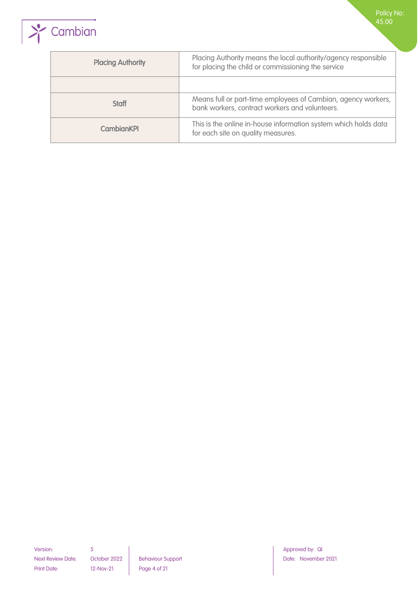

| <b>Placing Authority</b> | Placing Authority means the local authority/agency responsible<br>for placing the child or commissioning the service |  |
|--------------------------|----------------------------------------------------------------------------------------------------------------------|--|
|                          |                                                                                                                      |  |
| <b>Staff</b>             | Means full or part-time employees of Cambian, agency workers,<br>bank workers, contract workers and volunteers.      |  |
| <b>CambianKPI</b>        | This is the online in-house information system which holds data<br>for each site on quality measures.                |  |

Next Review Date: October 2022 Behaviour Support Next Review Date: November 2021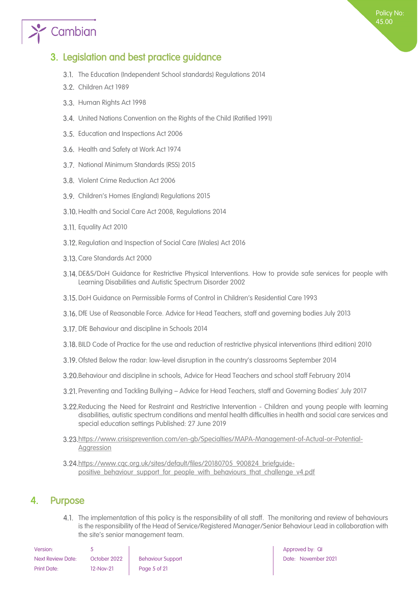## $\sum_{i=1}^{\infty}$  Cambian

## <span id="page-4-0"></span>3. Legislation and best practice guidance

- 3.1. The Education (Independent School standards) Regulations 2014
- 3.2. Children Act 1989
- 3.3. Human Rights Act 1998
- United Nations Convention on the Rights of the Child (Ratified 1991)
- 3.5. Education and Inspections Act 2006
- 3.6. Health and Safety at Work Act 1974
- 3.7. National Minimum Standards (RSS) 2015
- 3.8. Violent Crime Reduction Act 2006
- Children's Homes (England) Regulations 2015
- 3.10. Health and Social Care Act 2008, Regulations 2014
- 3.11. Equality Act 2010
- 3.12. Regulation and Inspection of Social Care (Wales) Act 2016
- 3.13. Care Standards Act 2000
- DE&S/DoH Guidance for Restrictive Physical Interventions. How to provide safe services for people with Learning Disabilities and Autistic Spectrum Disorder 2002
- DoH Guidance on Permissible Forms of Control in Children's Residential Care 1993
- DfE Use of Reasonable Force. Advice for Head Teachers, staff and governing bodies July 2013
- 3.17. DfE Behaviour and discipline in Schools 2014
- BILD Code of Practice for the use and reduction of restrictive physical interventions (third edition) 2010
- 3.19. Ofsted Below the radar: low-level disruption in the country's classrooms September 2014
- Behaviour and discipline in schools, Advice for Head Teachers and school staff February 2014
- Preventing and Tackling Bullying Advice for Head Teachers, staff and Governing Bodies' July 2017
- Reducing the Need for Restraint and Restrictive Intervention Children and young people with learning disabilities, autistic spectrum conditions and mental health difficulties in health and social care services and special education settings Published: 27 June 2019
- [https://www.crisisprevention.com/en-gb/Specialties/MAPA-Management-of-Actual-or-Potential-](https://www.crisisprevention.com/en-gb/Specialties/MAPA-Management-of-Actual-or-Potential-Aggression)**[Aggression](https://www.crisisprevention.com/en-gb/Specialties/MAPA-Management-of-Actual-or-Potential-Aggression)**
- [https://www.cqc.org.uk/sites/default/files/20180705\\_900824\\_briefguide](https://www.cqc.org.uk/sites/default/files/20180705_900824_briefguide-positive_behaviour_support_for_people_with_behaviours_that_challenge_v4.pdf)[positive\\_behaviour\\_support\\_for\\_people\\_with\\_behaviours\\_that\\_challenge\\_v4.pdf](https://www.cqc.org.uk/sites/default/files/20180705_900824_briefguide-positive_behaviour_support_for_people_with_behaviours_that_challenge_v4.pdf)

## <span id="page-4-1"></span>4. Purpose

4.1. The implementation of this policy is the responsibility of all staff. The monitoring and review of behaviours is the responsibility of the Head of Service/Registered Manager/Senior Behaviour Lead in collaboration with the site's senior management team.

| Version:                 |              |                          |
|--------------------------|--------------|--------------------------|
| <b>Next Review Date:</b> | October 2022 | <b>Behaviour Support</b> |
| Print Date:              | $12-Nov-21$  | Page 5 of 21             |

Approved by: QI Date: November 2021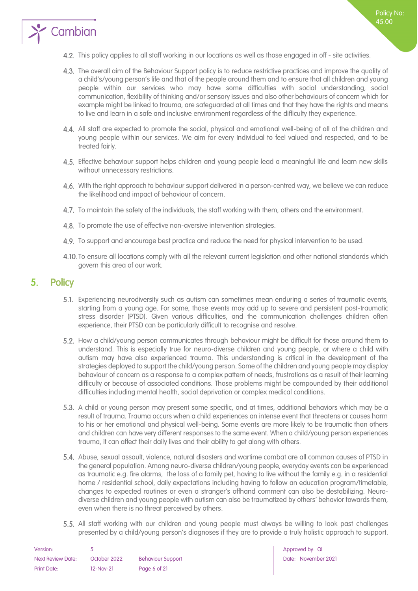

- The overall aim of the Behaviour Support policy is to reduce restrictive practices and improve the quality of a child's/young person's life and that of the people around them and to ensure that all children and young people within our services who may have some difficulties with social understanding, social communication, flexibility of thinking and/or sensory issues and also other behaviours of concern which for example might be linked to trauma, are safeguarded at all times and that they have the rights and means to live and learn in a safe and inclusive environment regardless of the difficulty they experience.
- All staff are expected to promote the social, physical and emotional well-being of all of the children and young people within our services. We aim for every Individual to feel valued and respected, and to be treated fairly.
- Effective behaviour support helps children and young people lead a meaningful life and learn new skills without unnecessary restrictions.
- 4.6. With the right approach to behaviour support delivered in a person-centred way, we believe we can reduce the likelihood and impact of behaviour of concern.
- 4.7. To maintain the safety of the individuals, the staff working with them, others and the environment.
- 4.8. To promote the use of effective non-aversive intervention strategies.
- 4.9. To support and encourage best practice and reduce the need for physical intervention to be used.
- 4.10. To ensure all locations comply with all the relevant current legislation and other national standards which govern this area of our work.

### <span id="page-5-0"></span>5. Policy

- Experiencing neurodiversity such as autism can sometimes mean enduring a series of traumatic events, starting from a young age. For some, those events may add up to severe and persistent post-traumatic stress disorder (PTSD). Given various difficulties, and the communication challenges children often experience, their PTSD can be particularly difficult to recognise and resolve.
- 5.2. How a child/young person communicates through behaviour might be difficult for those around them to understand. This is especially true for neuro-diverse children and young people, or where a child with autism may have also experienced trauma. This understanding is critical in the development of the strategies deployed to support the child/young person. Some of the children and young people may display behaviour of concern as a response to a complex pattern of needs, frustrations as a result of their learning difficulty or because of associated conditions. Those problems might be compounded by their additional difficulties including mental health, social deprivation or complex medical conditions.
- 5.3. A child or young person may present some specific, and at times, additional behaviors which may be a result of trauma. Trauma occurs when a child experiences an intense event that threatens or causes harm to his or her emotional and physical well-being. Some events are more likely to be traumatic than others and children can have very different responses to the same event. When a child/young person experiences trauma, it can affect their daily lives and their ability to get along with others.
- Abuse, sexual assault, violence, natural disasters and wartime combat are all common causes of PTSD in the general population. Among neuro-diverse children/young people, everyday events can be experienced as traumatic e.g. fire alarms, the loss of a family pet, having to live without the family e.g. in a residential home / residential school, daily expectations including having to follow an education program/timetable, changes to expected routines or even a stranger's offhand comment can also be destabilizing. Neurodiverse children and young people with autism can also be traumatized by others' behavior towards them, even when there is no threat perceived by others.
- 5.5. All staff working with our children and young people must always be willing to look past challenges presented by a child/young person's diagnoses if they are to provide a truly holistic approach to support.

| Version:                 |              |                          |
|--------------------------|--------------|--------------------------|
| <b>Next Review Date:</b> | October 2022 | <b>Behaviour Support</b> |
| Print Date:              | 12-Nov-21    | Page 6 of 21             |

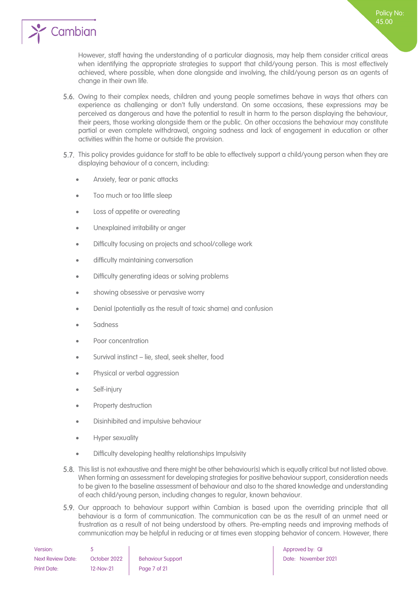

However, staff having the understanding of a particular diagnosis, may help them consider critical areas when identifying the appropriate strategies to support that child/young person. This is most effectively achieved, where possible, when done alongside and involving, the child/young person as an agents of change in their own life.

- 5.6. Owing to their complex needs, children and young people sometimes behave in ways that others can experience as challenging or don't fully understand. On some occasions, these expressions may be perceived as dangerous and have the potential to result in harm to the person displaying the behaviour, their peers, those working alongside them or the public. On other occasions the behaviour may constitute partial or even complete withdrawal, ongoing sadness and lack of engagement in education or other activities within the home or outside the provision.
- 5.7. This policy provides guidance for staff to be able to effectively support a child/young person when they are displaying behaviour of a concern, including:
	- Anxiety, fear or panic attacks
	- Too much or too little sleep
	- Loss of appetite or overeating
	- Unexplained irritability or anger
	- Difficulty focusing on projects and school/college work
	- difficulty maintaining conversation
	- Difficulty generating ideas or solving problems
	- showing obsessive or pervasive worry
	- Denial (potentially as the result of toxic shame) and confusion
	- **Sadness**
	- Poor concentration
	- Survival instinct lie, steal, seek shelter, food
	- Physical or verbal aggression
	- Self-injury
	- Property destruction
	- Disinhibited and impulsive behaviour
	- Hyper sexuality
	- Difficulty developing healthy relationships Impulsivity
- This list is not exhaustive and there might be other behaviour(s) which is equally critical but not listed above. When forming an assessment for developing strategies for positive behaviour support, consideration needs to be given to the baseline assessment of behaviour and also to the shared knowledge and understanding of each child/young person, including changes to regular, known behaviour.
- 5.9. Our approach to behaviour support within Cambian is based upon the overriding principle that all behaviour is a form of communication. The communication can be as the result of an unmet need or frustration as a result of not being understood by others. Pre-empting needs and improving methods of communication may be helpful in reducing or at times even stopping behavior of concern. However, there

| Version:                 |              |                          |
|--------------------------|--------------|--------------------------|
| <b>Next Review Date:</b> | October 2022 | <b>Behaviour Support</b> |
| <b>Print Date:</b>       | 12-Nov-21    | Page 7 of 21             |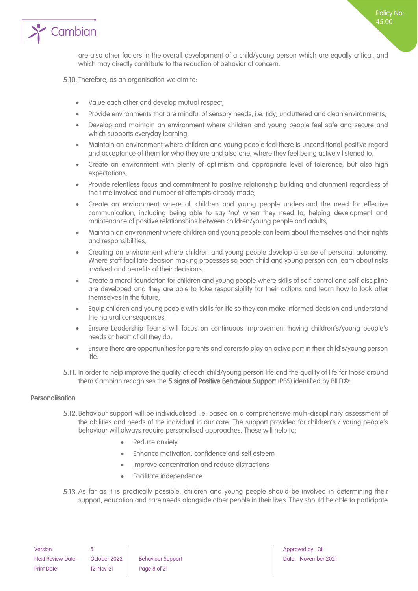

are also other factors in the overall development of a child/young person which are equally critical, and which may directly contribute to the reduction of behavior of concern.

5.10. Therefore, as an organisation we aim to:

- Value each other and develop mutual respect,
- Provide environments that are mindful of sensory needs, i.e. tidy, uncluttered and clean environments,
- Develop and maintain an environment where children and young people feel safe and secure and which supports everyday learning,
- Maintain an environment where children and young people feel there is unconditional positive regard and acceptance of them for who they are and also one, where they feel being actively listened to,
- Create an environment with plenty of optimism and appropriate level of tolerance, but also high expectations,
- Provide relentless focus and commitment to positive relationship building and atunment regardless of the time involved and number of attempts already made,
- Create an environment where all children and young people understand the need for effective communication, including being able to say 'no' when they need to, helping development and maintenance of positive relationships between children/young people and adults,
- Maintain an environment where children and young people can learn about themselves and their rights and responsibilities,
- Creating an environment where children and young people develop a sense of personal autonomy. Where staff facilitate decision making processes so each child and young person can learn about risks involved and benefits of their decisions.,
- Create a moral foundation for children and young people where skills of self-control and self-discipline are developed and they are able to take responsibility for their actions and learn how to look after themselves in the future,
- Equip children and young people with skills for life so they can make informed decision and understand the natural consequences,
- Ensure Leadership Teams will focus on continuous improvement having children's/young people's needs at heart of all they do,
- Ensure there are opportunities for parents and carers to play an active part in their child's/young person life.
- 5.11. In order to help improve the quality of each child/young person life and the quality of life for those around them Cambian recognises the 5 signs of Positive Behaviour Support (PBS) identified by BILD®:

#### <span id="page-7-0"></span>Personalisation

- Behaviour support will be individualised i.e. based on a comprehensive multi-disciplinary assessment of the abilities and needs of the individual in our care. The support provided for children's / young people's behaviour will always require personalised approaches. These will help to:
	- Reduce anxiety
	- Enhance motivation, confidence and self esteem
	- Improve concentration and reduce distractions
	- Facilitate independence
- 5.13. As far as it is practically possible, children and young people should be involved in determining their support, education and care needs alongside other people in their lives. They should be able to participate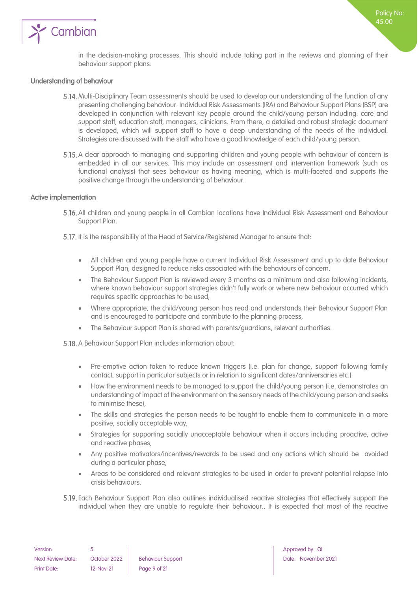

in the decision-making processes. This should include taking part in the reviews and planning of their behaviour support plans.

#### <span id="page-8-0"></span>Understanding of behaviour

- 5.14. Multi-Disciplinary Team assessments should be used to develop our understanding of the function of any presenting challenging behaviour. Individual Risk Assessments (IRA) and Behaviour Support Plans (BSP) are developed in conjunction with relevant key people around the child/young person including: care and support staff, education staff, managers, clinicians. From there, a detailed and robust strategic document is developed, which will support staff to have a deep understanding of the needs of the individual. Strategies are discussed with the staff who have a good knowledge of each child/young person.
- 5.15. A clear approach to managing and supporting children and young people with behaviour of concern is embedded in all our services. This may include an assessment and intervention framework (such as functional analysis) that sees behaviour as having meaning, which is multi-faceted and supports the positive change through the understanding of behaviour.

#### <span id="page-8-1"></span>Active implementation

- All children and young people in all Cambian locations have Individual Risk Assessment and Behaviour Support Plan.
- 5.17. It is the responsibility of the Head of Service/Registered Manager to ensure that:
	- All children and young people have a current Individual Risk Assessment and up to date Behaviour Support Plan, designed to reduce risks associated with the behaviours of concern.
	- The Behaviour Support Plan is reviewed every 3 months as a minimum and also following incidents, where known behaviour support strategies didn't fully work or where new behaviour occurred which requires specific approaches to be used,
	- Where appropriate, the child/young person has read and understands their Behaviour Support Plan and is encouraged to participate and contribute to the planning process,
	- The Behaviour support Plan is shared with parents/guardians, relevant authorities.

5.18. A Behaviour Support Plan includes information about:

- Pre-emptive action taken to reduce known triggers (i.e. plan for change, support following family contact, support in particular subjects or in relation to significant dates/anniversaries etc.)
- How the environment needs to be managed to support the child/young person (i.e. demonstrates an understanding of impact of the environment on the sensory needs of the child/young person and seeks to minimise these),
- The skills and strategies the person needs to be taught to enable them to communicate in a more positive, socially acceptable way,
- Strategies for supporting socially unacceptable behaviour when it occurs including proactive, active and reactive phases,
- Any positive motivators/incentives/rewards to be used and any actions which should be avoided during a particular phase,
- Areas to be considered and relevant strategies to be used in order to prevent potential relapse into crisis behaviours.
- Each Behaviour Support Plan also outlines individualised reactive strategies that effectively support the individual when they are unable to regulate their behaviour.. It is expected that most of the reactive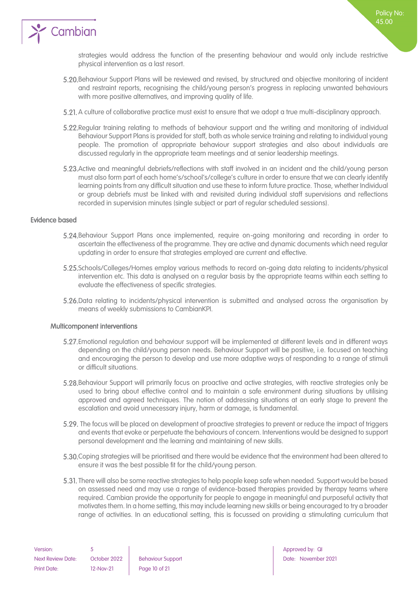

strategies would address the function of the presenting behaviour and would only include restrictive physical intervention as a last resort.

- Behaviour Support Plans will be reviewed and revised, by structured and objective monitoring of incident and restraint reports, recognising the child/young person's progress in replacing unwanted behaviours with more positive alternatives, and improving quality of life.
- 5.21. A culture of collaborative practice must exist to ensure that we adopt a true multi-disciplinary approach.
- 5.22. Regular training relating to methods of behaviour support and the writing and monitoring of individual Behaviour Support Plans is provided for staff, both as whole service training and relating to individual young people. The promotion of appropriate behaviour support strategies and also about individuals are discussed regularly in the appropriate team meetings and at senior leadership meetings.
- Active and meaningful debriefs/reflections with staff involved in an incident and the child/young person must also form part of each home's/school's/college's culture in order to ensure that we can clearly identify learning points from any difficult situation and use these to inform future practice. Those, whether Individual or group debriefs must be linked with and revisited during individual staff supervisions and reflections recorded in supervision minutes (single subject or part of regular scheduled sessions).

#### <span id="page-9-0"></span>Evidence based

- Behaviour Support Plans once implemented, require on-going monitoring and recording in order to ascertain the effectiveness of the programme. They are active and dynamic documents which need regular updating in order to ensure that strategies employed are current and effective.
- Schools/Colleges/Homes employ various methods to record on-going data relating to incidents/physical intervention etc. This data is analysed on a regular basis by the appropriate teams within each setting to evaluate the effectiveness of specific strategies.
- 5.26. Data relating to incidents/physical intervention is submitted and analysed across the organisation by means of weekly submissions to CambianKPI.

#### <span id="page-9-1"></span>Multicomponent interventions

- Emotional regulation and behaviour support will be implemented at different levels and in different ways depending on the child/young person needs. Behaviour Support will be positive, i.e. focused on teaching and encouraging the person to develop and use more adaptive ways of responding to a range of stimuli or difficult situations.
- Behaviour Support will primarily focus on proactive and active strategies, with reactive strategies only be used to bring about effective control and to maintain a safe environment during situations by utilising approved and agreed techniques. The notion of addressing situations at an early stage to prevent the escalation and avoid unnecessary injury, harm or damage, is fundamental.
- 5.29. The focus will be placed on development of proactive strategies to prevent or reduce the impact of triggers and events that evoke or perpetuate the behaviours of concern. Interventions would be designed to support personal development and the learning and maintaining of new skills.
- Coping strategies will be prioritised and there would be evidence that the environment had been altered to ensure it was the best possible fit for the child/young person.
- There will also be some reactive strategies to help people keep safe when needed. Support would be based on assessed need and may use a range of evidence-based therapies provided by therapy teams where required. Cambian provide the opportunity for people to engage in meaningful and purposeful activity that motivates them. In a home setting, this may include learning new skills or being encouraged to try a broader range of activities. In an educational setting, this is focussed on providing a stimulating curriculum that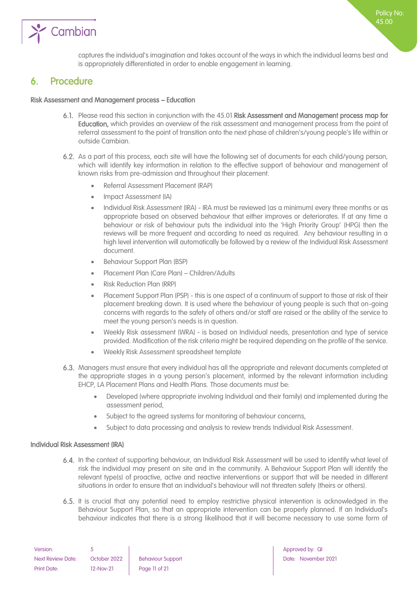

captures the individual's imagination and takes account of the ways in which the individual learns best and is appropriately differentiated in order to enable engagement in learning.

### <span id="page-10-0"></span>6. Procedure

#### Risk Assessment and Management process – Education

- Please read this section in conjunction with the 45.01 Risk Assessment and Management process map for Education, which provides an overview of the risk assessment and management process from the point of referral assessment to the point of transition onto the next phase of children's/young people's life within or outside Cambian.
- As a part of this process, each site will have the following set of documents for each child/young person, which will identify key information in relation to the effective support of behaviour and management of known risks from pre-admission and throughout their placement.
	- Referral Assessment Placement (RAP)
	- Impact Assessment (IA)
	- Individual Risk Assessment (IRA) IRA must be reviewed (as a minimum) every three months or as appropriate based on observed behaviour that either improves or deteriorates. If at any time a behaviour or risk of behaviour puts the individual into the 'High Priority Group' (HPG) then the reviews will be more frequent and according to need as required. Any behaviour resulting in a high level intervention will automatically be followed by a review of the Individual Risk Assessment document.
	- Behaviour Support Plan (BSP)
	- Placement Plan (Care Plan) Children/Adults
	- Risk Reduction Plan (RRP)
	- Placement Support Plan (PSP) this is one aspect of a continuum of support to those at risk of their placement breaking down. It is used where the behaviour of young people is such that on-going concerns with regards to the safety of others and/or staff are raised or the ability of the service to meet the young person's needs is in question.
	- Weekly Risk assessment (WRA) is based on Individual needs, presentation and type of service provided. Modification of the risk criteria might be required depending on the profile of the service.
	- Weekly Risk Assessment spreadsheet template
- Managers must ensure that every individual has all the appropriate and relevant documents completed at the appropriate stages in a young person's placement, informed by the relevant information including EHCP, LA Placement Plans and Health Plans. Those documents must be:
	- Developed (where appropriate involving Individual and their family) and implemented during the assessment period,
	- Subject to the agreed systems for monitoring of behaviour concerns,
	- Subject to data processing and analysis to review trends Individual Risk Assessment.

#### <span id="page-10-1"></span>Individual Risk Assessment (IRA)

- In the context of supporting behaviour, an Individual Risk Assessment will be used to identify what level of risk the individual may present on site and in the community. A Behaviour Support Plan will identify the relevant type(s) of proactive, active and reactive interventions or support that will be needed in different situations in order to ensure that an individual's behaviour will not threaten safety (theirs or others).
- 6.5. It is crucial that any potential need to employ restrictive physical intervention is acknowledged in the Behaviour Support Plan, so that an appropriate intervention can be properly planned. If an Individual's behaviour indicates that there is a strong likelihood that it will become necessary to use some form of

| Version:                 |              |                          |
|--------------------------|--------------|--------------------------|
| <b>Next Review Date:</b> | October 2022 | <b>Behaviour Support</b> |
| <b>Print Date:</b>       | 12-Nov-21    | Page 11 of 21            |

Approved by: QI Date: November 2021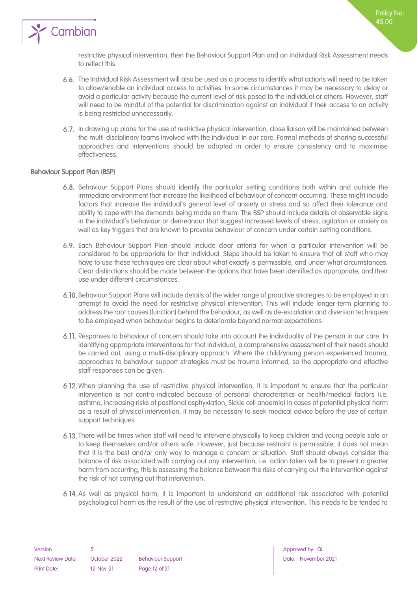

restrictive physical intervention, then the Behaviour Support Plan and an Individual Risk Assessment needs to reflect this.

- The Individual Risk Assessment will also be used as a process to identify what actions will need to be taken to allow/enable an individual access to activities. In some circumstances it may be necessary to delay or avoid a particular activity because the current level of risk posed to the individual or others. However, staff will need to be mindful of the potential for discrimination against an individual if their access to an activity is being restricted unnecessarily.
- In drawing up plans for the use of restrictive physical intervention, close liaison will be maintained between the multi-disciplinary teams involved with the individual in our care. Formal methods of sharing successful approaches and interventions should be adopted in order to ensure consistency and to maximise effectiveness.

#### <span id="page-11-0"></span>Behaviour Support Plan (BSP)

- Behaviour Support Plans should identify the particular setting conditions both within and outside the immediate environment that increase the likelihood of behaviour of concern occurring. These might include factors that increase the individual's general level of anxiety or stress and so affect their tolerance and ability to cope with the demands being made on them. The BSP should include details of observable signs in the individual's behaviour or demeanour that suggest increased levels of stress, agitation or anxiety as well as key triggers that are known to provoke behaviour of concern under certain setting conditions.
- Each Behaviour Support Plan should include clear criteria for when a particular intervention will be considered to be appropriate for that individual. Steps should be taken to ensure that all staff who may have to use these techniques are clear about what exactly is permissible, and under what circumstances. Clear distinctions should be made between the options that have been identified as appropriate, and their use under different circumstances.
- Behaviour Support Plans will include details of the wider range of proactive strategies to be employed in an attempt to avoid the need for restrictive physical intervention. This will include longer-term planning to address the root causes (function) behind the behaviour, as well as de-escalation and diversion techniques to be employed when behaviour begins to deteriorate beyond normal expectations.
- 6.11. Responses to behaviour of concern should take into account the individuality of the person in our care. In identifying appropriate interventions for that individual, a comprehensive assessment of their needs should be carried out, using a multi-disciplinary approach. Where the child/young person experienced trauma, approaches to behaviour support strategies must be trauma informed, so the appropriate and effective staff responses can be given.
- When planning the use of restrictive physical intervention, it is important to ensure that the particular intervention is not contra-indicated because of personal characteristics or health/medical factors (i.e. asthma, increasing risks of positional asphyxiation, Sickle cell anaemia) in cases of potential physical harm as a result of physical intervention, it may be necessary to seek medical advice before the use of certain support techniques.
- There will be times when staff will need to intervene physically to keep children and young people safe or to keep themselves and/or others safe. However, just because restraint is permissible, it does not mean that it is the best and/or only way to manage a concern or situation. Staff should always consider the balance of risk associated with carrying out any intervention, i.e. action taken will be to prevent a greater harm from occurring, this is assessing the balance between the risks of carrying out the intervention against the risk of not carrying out that intervention.
- As well as physical harm, it is important to understand an additional risk associated with potential psychological harm as the result of the use of restrictive physical intervention. This needs to be tended to

Policy No: 45.00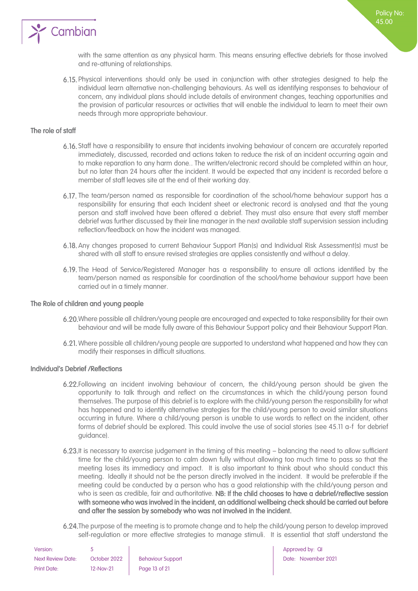

with the same attention as any physical harm. This means ensuring effective debriefs for those involved and re-attuning of relationships.

Physical interventions should only be used in conjunction with other strategies designed to help the individual learn alternative non-challenging behaviours. As well as identifying responses to behaviour of concern, any individual plans should include details of environment changes, teaching opportunities and the provision of particular resources or activities that will enable the individual to learn to meet their own needs through more appropriate behaviour.

#### <span id="page-12-0"></span>The role of staff

- Staff have a responsibility to ensure that incidents involving behaviour of concern are accurately reported immediately, discussed, recorded and actions taken to reduce the risk of an incident occurring again and to make reparation to any harm done.. The written/electronic record should be completed within an hour, but no later than 24 hours after the incident. It would be expected that any incident is recorded before a member of staff leaves site at the end of their working day.
- 6.17. The team/person named as responsible for coordination of the school/home behaviour support has a responsibility for ensuring that each Incident sheet or electronic record is analysed and that the young person and staff involved have been offered a debrief. They must also ensure that every staff member debrief was further discussed by their line manager in the next available staff supervision session including reflection/feedback on how the incident was managed.
- Any changes proposed to current Behaviour Support Plan(s) and Individual Risk Assessment(s) must be shared with all staff to ensure revised strategies are applies consistently and without a delay.
- The Head of Service/Registered Manager has a responsibility to ensure all actions identified by the team/person named as responsible for coordination of the school/home behaviour support have been carried out in a timely manner.

#### <span id="page-12-1"></span>The Role of children and young people

- Where possible all children/young people are encouraged and expected to take responsibility for their own behaviour and will be made fully aware of this Behaviour Support policy and their Behaviour Support Plan.
- 6.21. Where possible all children/young people are supported to understand what happened and how they can modify their responses in difficult situations.

#### <span id="page-12-2"></span>Individual's Debrief /Reflections

- Following an incident involving behaviour of concern, the child/young person should be given the opportunity to talk through and reflect on the circumstances in which the child/young person found themselves. The purpose of this debrief is to explore with the child/young person the responsibility for what has happened and to identify alternative strategies for the child/young person to avoid similar situations occurring in future. Where a child/young person is unable to use words to reflect on the incident, other forms of debrief should be explored. This could involve the use of social stories (see 45.11 a-f for debrief guidance).
- 6.23. It is necessary to exercise judgement in the timing of this meeting balancing the need to allow sufficient time for the child/young person to calm down fully without allowing too much time to pass so that the meeting loses its immediacy and impact. It is also important to think about who should conduct this meeting. Ideally it should not be the person directly involved in the incident. It would be preferable if the meeting could be conducted by a person who has a good relationship with the child/young person and who is seen as credible, fair and authoritative. NB: If the child chooses to have a debrief/reflective session with someone who was involved in the incident, an additional wellbeing check should be carried out before and after the session by somebody who was not involved in the incident.
- 6.24. The purpose of the meeting is to promote change and to help the child/young person to develop improved self-regulation or more effective strategies to manage stimuli. It is essential that staff understand the

| Version:                 |              |                          |
|--------------------------|--------------|--------------------------|
| <b>Next Review Date:</b> | October 2022 | <b>Behaviour Support</b> |
| Print Date:              | 12-Nov-21    | Page 13 of 21            |

Approved by: QI Date: November 2021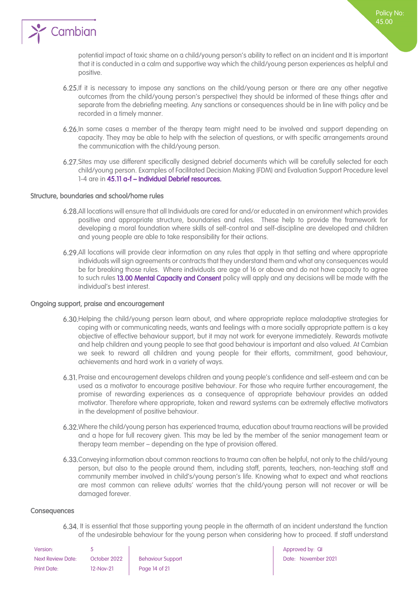

potential impact of toxic shame on a child/young person's ability to reflect on an incident and It is important that it is conducted in a calm and supportive way which the child/young person experiences as helpful and positive.

- 6.25.If it is necessary to impose any sanctions on the child/young person or there are any other negative outcomes (from the child/young person's perspective) they should be informed of these things after and separate from the debriefing meeting. Any sanctions or consequences should be in line with policy and be recorded in a timely manner.
- 6.26. In some cases a member of the therapy team might need to be involved and support depending on capacity. They may be able to help with the selection of questions, or with specific arrangements around the communication with the child/young person.
- Sites may use different specifically designed debrief documents which will be carefully selected for each child/young person. Examples of Facilitated Decision Making (FDM) and Evaluation Support Procedure level 1-4 are in 45.11 a-f – Individual Debrief resources.

#### <span id="page-13-0"></span>Structure, boundaries and school/home rules

- All locations will ensure that all Individuals are cared for and/or educated in an environment which provides positive and appropriate structure, boundaries and rules. These help to provide the framework for developing a moral foundation where skills of self-control and self-discipline are developed and children and young people are able to take responsibility for their actions.
- All locations will provide clear information on any rules that apply in that setting and where appropriate individuals will sign agreements or contracts that they understand them and what any consequences would be for breaking those rules. Where individuals are age of 16 or above and do not have capacity to agree to such rules 13.00 Mental Capacity and Consent policy will apply and any decisions will be made with the individual's best interest.

#### <span id="page-13-1"></span>Ongoing support, praise and encouragement

- 6.30. Helping the child/young person learn about, and where appropriate replace maladaptive strategies for coping with or communicating needs, wants and feelings with a more socially appropriate pattern is a key objective of effective behaviour support, but it may not work for everyone immediately. Rewards motivate and help children and young people to see that good behaviour is important and also valued. At Cambian we seek to reward all children and young people for their efforts, commitment, good behaviour, achievements and hard work in a variety of ways.
- Praise and encouragement develops children and young people's confidence and self-esteem and can be used as a motivator to encourage positive behaviour. For those who require further encouragement, the promise of rewarding experiences as a consequence of appropriate behaviour provides an added motivator. Therefore where appropriate, token and reward systems can be extremely effective motivators in the development of positive behaviour.
- Where the child/young person has experienced trauma, education about trauma reactions will be provided and a hope for full recovery given. This may be led by the member of the senior management team or therapy team member – depending on the type of provision offered.
- Conveying information about common reactions to trauma can often be helpful, not only to the child/young person, but also to the people around them, including staff, parents, teachers, non-teaching staff and community member involved in child's/young person's life. Knowing what to expect and what reactions are most common can relieve adults' worries that the child/young person will not recover or will be damaged forever.

#### <span id="page-13-2"></span>**Consequences**

6.34. It is essential that those supporting young people in the aftermath of an incident understand the function of the undesirable behaviour for the young person when considering how to proceed. If staff understand

| Version:                 |              |                          |
|--------------------------|--------------|--------------------------|
| <b>Next Review Date:</b> | October 2022 | <b>Behaviour Support</b> |
| <b>Print Date:</b>       | $12-Nov-21$  | Page 14 of 21            |

Approved by: QI Date: November 2021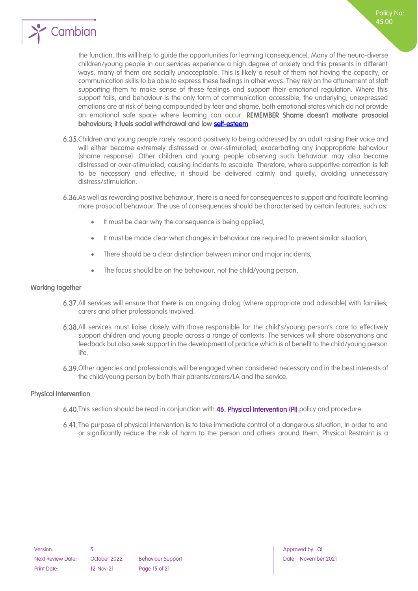

the function, this will help to guide the opportunities for learning (consequence). Many of the neuro-diverse children/young people in our services experience a high degree of anxiety and this presents in different ways, many of them are socially unacceptable. This is likely a result of them not having the capacity, or communication skills to be able to express these feelings in other ways. They rely on the attunement of staff supporting them to make sense of these feelings and support their emotional regulation. Where this support fails, and behaviour is the only form of communication accessible, the underlying, unexpressed emotions are at risk of being compounded by fear and shame, both emotional states which do not provide an emotional safe space where learning can occur. REMEMBER Shame doesn't motivate prosocial behaviours; it fuels social withdrawal and low [self-esteem.](https://www.psychologytoday.com/us/basics/self-esteem)

Policy No: 45.00

- 6.35. Children and young people rarely respond positively to being addressed by an adult raising their voice and will either become extremely distressed or over-stimulated, exacerbating any inappropriate behaviour (shame response). Other children and young people observing such behaviour may also become distressed or over-stimulated, causing incidents to escalate. Therefore, where supportive correction is felt to be necessary and effective, it should be delivered calmly and quietly, avoiding unnecessary distress/stimulation.
- As well as rewarding positive behaviour, there is a need for consequences to support and facilitate learning more prosocial behaviour. The use of consequences should be characterised by certain features, such as:
	- It must be clear why the consequence is being applied,
	- It must be made clear what changes in behaviour are required to prevent similar situation,
	- There should be a clear distinction between minor and major incidents,
	- The focus should be on the behaviour, not the child/young person.

#### <span id="page-14-0"></span>Working together

- All services will ensure that there is an ongoing dialog (where appropriate and advisable) with families, carers and other professionals involved.
- All services must liaise closely with those responsible for the child's/young person's care to effectively support children and young people across a range of contexts. The services will share observations and feedback but also seek support in the development of practice which is of benefit to the child/young person  $l$ ife.
- Other agencies and professionals will be engaged when considered necessary and in the best interests of the child/young person by both their parents/carers/LA and the service.

#### <span id="page-14-1"></span>Physical Intervention

- 6.40. This section should be read in conjunction with 46. Physical Intervention (PI) policy and procedure.
- 6.41. The purpose of physical intervention is to take immediate control of a dangerous situation, in order to end or significantly reduce the risk of harm to the person and others around them. Physical Restraint is a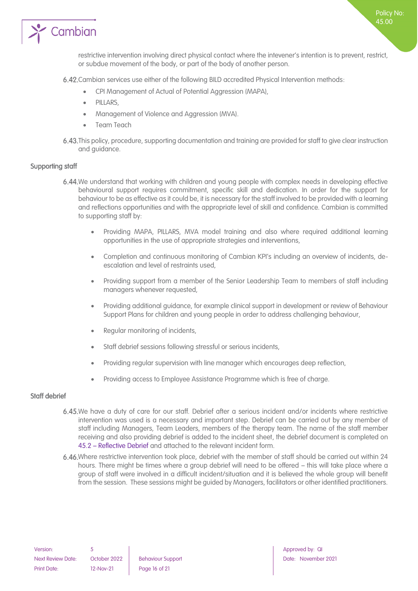

6.42. Cambian services use either of the following BILD accredited Physical Intervention methods:

- CPI Management of Actual of Potential Aggression (MAPA),
- PILLARS,
- Management of Violence and Aggression (MVA).
- Team Teach
- 6.43. This policy, procedure, supporting documentation and training are provided for staff to give clear instruction and guidance.

#### <span id="page-15-0"></span>Supporting staff

- 6.44. We understand that working with children and young people with complex needs in developing effective behavioural support requires commitment, specific skill and dedication. In order for the support for behaviour to be as effective as it could be, it is necessary for the staff involved to be provided with a learning and reflections opportunities and with the appropriate level of skill and confidence. Cambian is committed to supporting staff by:
	- Providing MAPA, PILLARS, MVA model training and also where required additional learning opportunities in the use of appropriate strategies and interventions,
	- Completion and continuous monitoring of Cambian KPI's including an overview of incidents, deescalation and level of restraints used,
	- Providing support from a member of the Senior Leadership Team to members of staff including managers whenever requested,
	- Providing additional guidance, for example clinical support in development or review of Behaviour Support Plans for children and young people in order to address challenging behaviour,
	- Regular monitoring of incidents,
	- Staff debrief sessions following stressful or serious incidents,
	- Providing regular supervision with line manager which encourages deep reflection,
	- Providing access to Employee Assistance Programme which is free of charge.

#### <span id="page-15-1"></span>Staff debrief

- 6.45. We have a duty of care for our staff. Debrief after a serious incident and/or incidents where restrictive intervention was used is a necessary and important step. Debrief can be carried out by any member of staff including Managers, Team Leaders, members of the therapy team. The name of the staff member receiving and also providing debrief is added to the incident sheet, the debrief document is completed on 45.2 – Reflective Debrief and attached to the relevant incident form.
- 6.46. Where restrictive intervention took place, debrief with the member of staff should be carried out within 24 hours. There might be times where a group debrief will need to be offered – this will take place where a group of staff were involved in a difficult incident/situation and it is believed the whole group will benefit from the session. These sessions might be guided by Managers, facilitators or other identified practitioners.

Next Review Date: October 2022 | Behaviour Support | Date: November 2021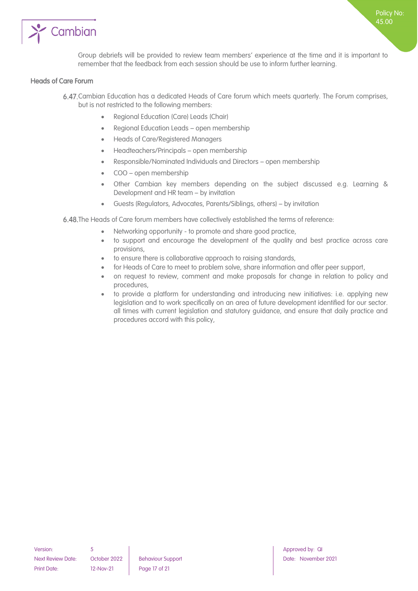

#### <span id="page-16-0"></span>Heads of Care Forum

- Cambian Education has a dedicated Heads of Care forum which meets quarterly. The Forum comprises, but is not restricted to the following members:
	- Regional Education (Care) Leads (Chair)
	- Regional Education Leads open membership
	- Heads of Care/Registered Managers
	- Headteachers/Principals open membership
	- Responsible/Nominated Individuals and Directors open membership
	- COO open membership
	- Other Cambian key members depending on the subject discussed e.g. Learning & Development and HR team – by invitation
	- Guests (Regulators, Advocates, Parents/Siblings, others) by invitation

6.48. The Heads of Care forum members have collectively established the terms of reference:

- Networking opportunity to promote and share good practice,
- to support and encourage the development of the quality and best practice across care provisions,
- to ensure there is collaborative approach to raising standards,
- for Heads of Care to meet to problem solve, share information and offer peer support,
- on request to review, comment and make proposals for change in relation to policy and procedures,
- to provide a platform for understanding and introducing new initiatives: i.e. applying new legislation and to work specifically on an area of future development identified for our sector. all times with current legislation and statutory guidance, and ensure that daily practice and procedures accord with this policy,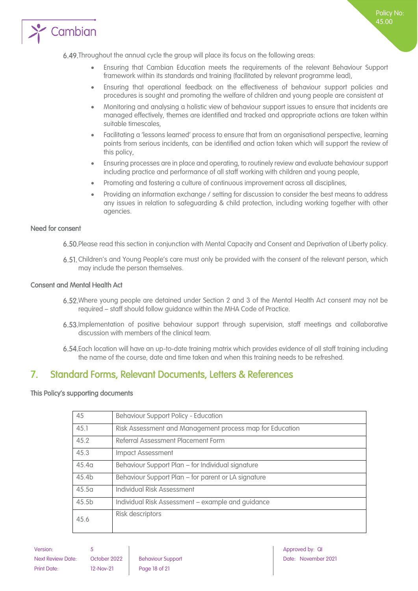

- Ensuring that Cambian Education meets the requirements of the relevant Behaviour Support framework within its standards and training (facilitated by relevant programme lead),
- Ensuring that operational feedback on the effectiveness of behaviour support policies and procedures is sought and promoting the welfare of children and young people are consistent at
- Monitoring and analysing a holistic view of behaviour support issues to ensure that incidents are managed effectively, themes are identified and tracked and appropriate actions are taken within suitable timescales,
- Facilitating a 'lessons learned' process to ensure that from an organisational perspective, learning points from serious incidents, can be identified and action taken which will support the review of this policy,
- Ensuring processes are in place and operating, to routinely review and evaluate behaviour support including practice and performance of all staff working with children and young people,
- Promoting and fostering a culture of continuous improvement across all disciplines,
- Providing an information exchange / setting for discussion to consider the best means to address any issues in relation to safeguarding & child protection, including working together with other agencies.

#### <span id="page-17-0"></span>Need for consent

Please read this section in conjunction with Mental Capacity and Consent and Deprivation of Liberty policy.

Children's and Young People's care must only be provided with the consent of the relevant person, which may include the person themselves.

#### <span id="page-17-1"></span>Consent and Mental Health Act

- Where young people are detained under Section 2 and 3 of the Mental Health Act consent may not be required – staff should follow guidance within the MHA Code of Practice.
- Implementation of positive behaviour support through supervision, staff meetings and collaborative discussion with members of the clinical team.
- Each location will have an up-to-date training matrix which provides evidence of all staff training including the name of the course, date and time taken and when this training needs to be refreshed.

### <span id="page-17-2"></span>7. Standard Forms, Relevant Documents, Letters & References

#### <span id="page-17-3"></span>This Policy's supporting documents

| 45                | <b>Behaviour Support Policy - Education</b>              |
|-------------------|----------------------------------------------------------|
| 45.1              | Risk Assessment and Management process map for Education |
| 45.2              | Referral Assessment Placement Form                       |
| 45.3              | <b>Impact Assessment</b>                                 |
| 45.4 <sub>a</sub> | Behaviour Support Plan - for Individual signature        |
| 45.4 <sub>b</sub> | Behaviour Support Plan - for parent or LA signature      |
| 45.5 <sub>a</sub> | Individual Risk Assessment                               |
| 45.5 <sub>b</sub> | Individual Risk Assessment - example and guidance        |
| 45.6              | Risk descriptors                                         |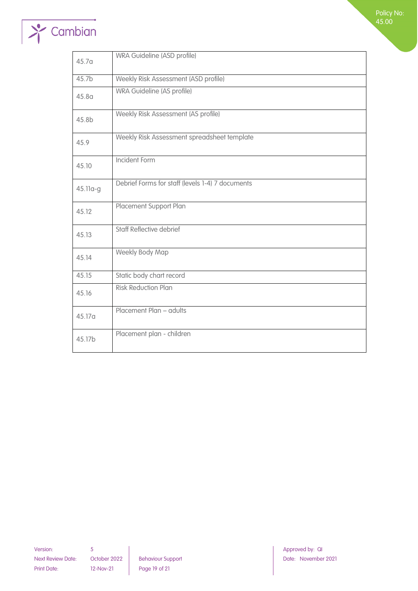# $\rightarrow$  Cambian

| 45.7 <sub>a</sub> | WRA Guideline (ASD profile)                      |
|-------------------|--------------------------------------------------|
| 45.7b             | Weekly Risk Assessment (ASD profile)             |
| 45.8 <sub>a</sub> | WRA Guideline (AS profile)                       |
| 45.8b             | Weekly Risk Assessment (AS profile)              |
| 45.9              | Weekly Risk Assessment spreadsheet template      |
| 45.10             | Incident Form                                    |
| 45.11a-g          | Debrief Forms for staff (levels 1-4) 7 documents |
| 45.12             | Placement Support Plan                           |
| 45.13             | <b>Staff Reflective debrief</b>                  |
| 45.14             | Weekly Body Map                                  |
| 45.15             | Static body chart record                         |
| 45.16             | <b>Risk Reduction Plan</b>                       |
| 45.17a            | Placement Plan - adults                          |
| 45.17b            | Placement plan - children                        |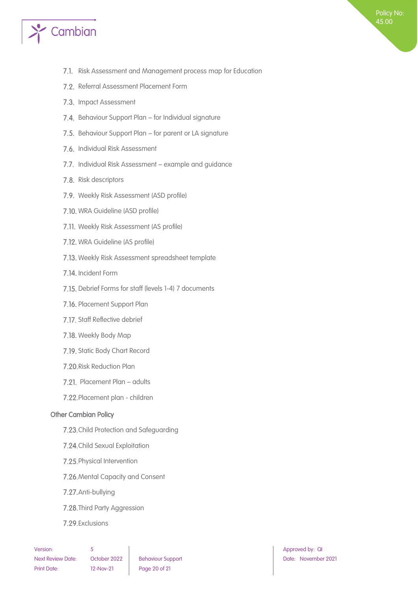

- 7.1. Risk Assessment and Management process map for Education
- 7.2. Referral Assessment Placement Form
- 7.3. Impact Assessment
- 7.4. Behaviour Support Plan for Individual signature
- 7.5. Behaviour Support Plan for parent or LA signature
- 7.6. Individual Risk Assessment
- 7.7. Individual Risk Assessment example and guidance
- 7.8. Risk descriptors
- 7.9. Weekly Risk Assessment (ASD profile)
- 7.10. WRA Guideline (ASD profile)
- 7.11. Weekly Risk Assessment (AS profile)
- 7.12. WRA Guideline (AS profile)
- 7.13. Weekly Risk Assessment spreadsheet template
- 7.14. Incident Form
- 7.15. Debrief Forms for staff (levels 1-4) 7 documents
- 7.16. Placement Support Plan
- 7.17. Staff Reflective debrief
- 7.18. Weekly Body Map
- 7.19. Static Body Chart Record
- 7.20. Risk Reduction Plan
- 7.21. Placement Plan adults
- 7.22. Placement plan children

#### <span id="page-19-0"></span>Other Cambian Policy

- 7.23. Child Protection and Safeguarding
- 7.24. Child Sexual Exploitation
- 7.25. Physical Intervention
- 7.26. Mental Capacity and Consent
- 7.27. Anti-bullying
- 7.28. Third Party Aggression
- 7.29. Exclusions